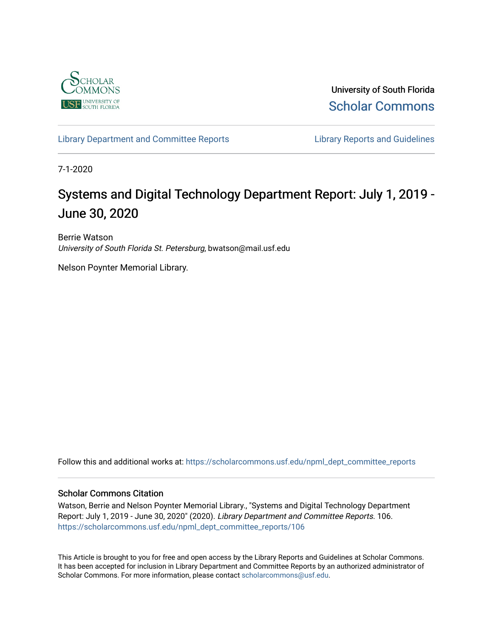

University of South Florida [Scholar Commons](https://scholarcommons.usf.edu/) 

[Library Department and Committee Reports](https://scholarcommons.usf.edu/npml_dept_committee_reports) **Library Reports and Guidelines** 

7-1-2020

# Systems and Digital Technology Department Report: July 1, 2019 - June 30, 2020

Berrie Watson University of South Florida St. Petersburg, bwatson@mail.usf.edu

Nelson Poynter Memorial Library.

Follow this and additional works at: [https://scholarcommons.usf.edu/npml\\_dept\\_committee\\_reports](https://scholarcommons.usf.edu/npml_dept_committee_reports?utm_source=scholarcommons.usf.edu%2Fnpml_dept_committee_reports%2F106&utm_medium=PDF&utm_campaign=PDFCoverPages)

#### Scholar Commons Citation

Watson, Berrie and Nelson Poynter Memorial Library., "Systems and Digital Technology Department Report: July 1, 2019 - June 30, 2020" (2020). Library Department and Committee Reports. 106. [https://scholarcommons.usf.edu/npml\\_dept\\_committee\\_reports/106](https://scholarcommons.usf.edu/npml_dept_committee_reports/106?utm_source=scholarcommons.usf.edu%2Fnpml_dept_committee_reports%2F106&utm_medium=PDF&utm_campaign=PDFCoverPages) 

This Article is brought to you for free and open access by the Library Reports and Guidelines at Scholar Commons. It has been accepted for inclusion in Library Department and Committee Reports by an authorized administrator of Scholar Commons. For more information, please contact [scholarcommons@usf.edu](mailto:scholarcommons@usf.edu).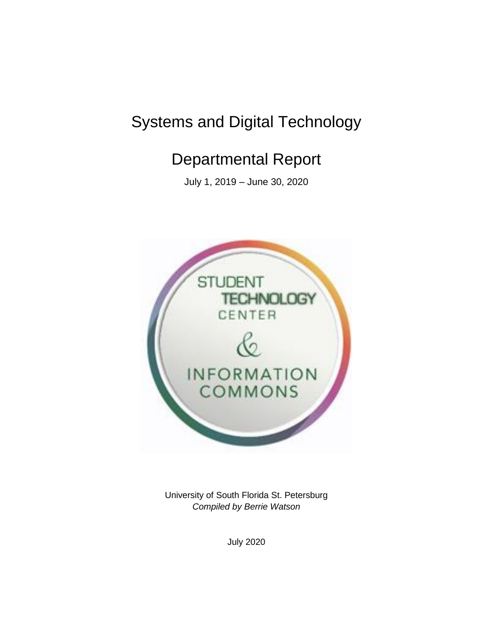# Systems and Digital Technology

# Departmental Report

July 1, 2019 – June 30, 2020



University of South Florida St. Petersburg *Compiled by Berrie Watson* 

July 2020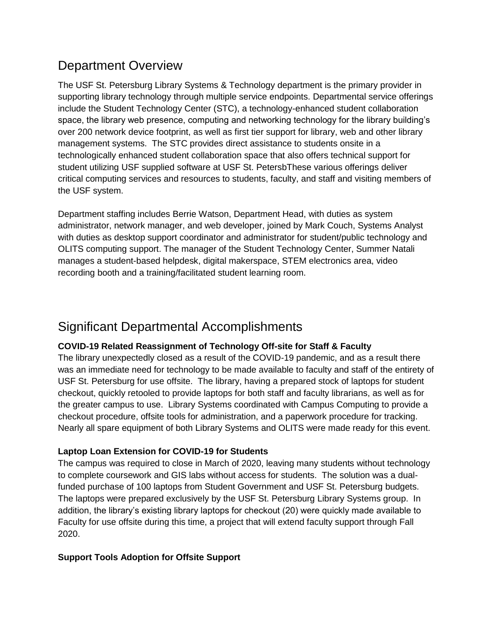## Department Overview

The USF St. Petersburg Library Systems & Technology department is the primary provider in supporting library technology through multiple service endpoints. Departmental service offerings include the Student Technology Center (STC), a technology-enhanced student collaboration space, the library web presence, computing and networking technology for the library building's over 200 network device footprint, as well as first tier support for library, web and other library management systems. The STC provides direct assistance to students onsite in a technologically enhanced student collaboration space that also offers technical support for student utilizing USF supplied software at USF St. PetersbThese various offerings deliver critical computing services and resources to students, faculty, and staff and visiting members of the USF system.

Department staffing includes Berrie Watson, Department Head, with duties as system administrator, network manager, and web developer, joined by Mark Couch, Systems Analyst with duties as desktop support coordinator and administrator for student/public technology and OLITS computing support. The manager of the Student Technology Center, Summer Natali manages a student-based helpdesk, digital makerspace, STEM electronics area, video recording booth and a training/facilitated student learning room.

# Significant Departmental Accomplishments

### **COVID-19 Related Reassignment of Technology Off-site for Staff & Faculty**

The library unexpectedly closed as a result of the COVID-19 pandemic, and as a result there was an immediate need for technology to be made available to faculty and staff of the entirety of USF St. Petersburg for use offsite. The library, having a prepared stock of laptops for student checkout, quickly retooled to provide laptops for both staff and faculty librarians, as well as for the greater campus to use. Library Systems coordinated with Campus Computing to provide a checkout procedure, offsite tools for administration, and a paperwork procedure for tracking. Nearly all spare equipment of both Library Systems and OLITS were made ready for this event.

### **Laptop Loan Extension for COVID-19 for Students**

The campus was required to close in March of 2020, leaving many students without technology to complete coursework and GIS labs without access for students. The solution was a dualfunded purchase of 100 laptops from Student Government and USF St. Petersburg budgets. The laptops were prepared exclusively by the USF St. Petersburg Library Systems group. In addition, the library's existing library laptops for checkout (20) were quickly made available to Faculty for use offsite during this time, a project that will extend faculty support through Fall 2020.

### **Support Tools Adoption for Offsite Support**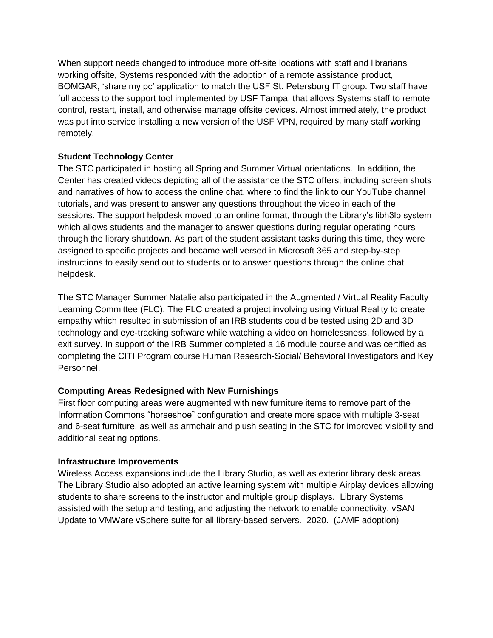When support needs changed to introduce more off-site locations with staff and librarians working offsite, Systems responded with the adoption of a remote assistance product, BOMGAR, 'share my pc' application to match the USF St. Petersburg IT group. Two staff have full access to the support tool implemented by USF Tampa, that allows Systems staff to remote control, restart, install, and otherwise manage offsite devices. Almost immediately, the product was put into service installing a new version of the USF VPN, required by many staff working remotely.

### **Student Technology Center**

The STC participated in hosting all Spring and Summer Virtual orientations. In addition, the Center has created videos depicting all of the assistance the STC offers, including screen shots and narratives of how to access the online chat, where to find the link to our YouTube channel tutorials, and was present to answer any questions throughout the video in each of the sessions. The support helpdesk moved to an online format, through the Library's libh3lp system which allows students and the manager to answer questions during regular operating hours through the library shutdown. As part of the student assistant tasks during this time, they were assigned to specific projects and became well versed in Microsoft 365 and step-by-step instructions to easily send out to students or to answer questions through the online chat helpdesk.

The STC Manager Summer Natalie also participated in the Augmented / Virtual Reality Faculty Learning Committee (FLC). The FLC created a project involving using Virtual Reality to create empathy which resulted in submission of an IRB students could be tested using 2D and 3D technology and eye-tracking software while watching a video on homelessness, followed by a exit survey. In support of the IRB Summer completed a 16 module course and was certified as completing the CITI Program course Human Research-Social/ Behavioral Investigators and Key Personnel.

### **Computing Areas Redesigned with New Furnishings**

First floor computing areas were augmented with new furniture items to remove part of the Information Commons "horseshoe" configuration and create more space with multiple 3-seat and 6-seat furniture, as well as armchair and plush seating in the STC for improved visibility and additional seating options.

#### **Infrastructure Improvements**

Wireless Access expansions include the Library Studio, as well as exterior library desk areas. The Library Studio also adopted an active learning system with multiple Airplay devices allowing students to share screens to the instructor and multiple group displays. Library Systems assisted with the setup and testing, and adjusting the network to enable connectivity. vSAN Update to VMWare vSphere suite for all library-based servers. 2020. (JAMF adoption)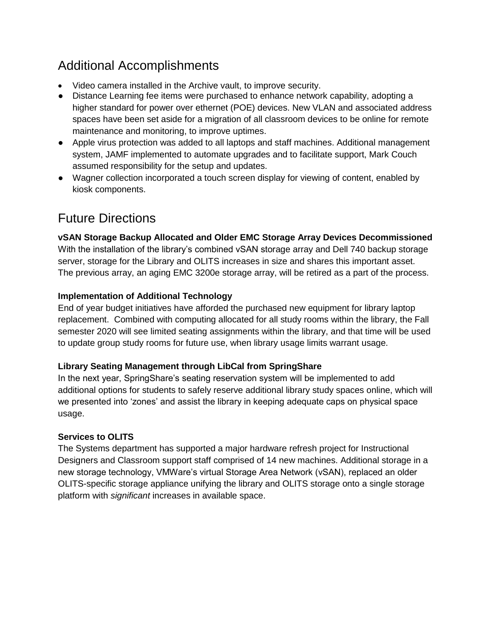# Additional Accomplishments

- Video camera installed in the Archive vault, to improve security.
- Distance Learning fee items were purchased to enhance network capability, adopting a higher standard for power over ethernet (POE) devices. New VLAN and associated address spaces have been set aside for a migration of all classroom devices to be online for remote maintenance and monitoring, to improve uptimes.
- Apple virus protection was added to all laptops and staff machines. Additional management system, JAMF implemented to automate upgrades and to facilitate support, Mark Couch assumed responsibility for the setup and updates.
- Wagner collection incorporated a touch screen display for viewing of content, enabled by kiosk components.

# Future Directions

### **vSAN Storage Backup Allocated and Older EMC Storage Array Devices Decommissioned**

With the installation of the library's combined vSAN storage array and Dell 740 backup storage server, storage for the Library and OLITS increases in size and shares this important asset. The previous array, an aging EMC 3200e storage array, will be retired as a part of the process.

### **Implementation of Additional Technology**

End of year budget initiatives have afforded the purchased new equipment for library laptop replacement. Combined with computing allocated for all study rooms within the library, the Fall semester 2020 will see limited seating assignments within the library, and that time will be used to update group study rooms for future use, when library usage limits warrant usage.

### **Library Seating Management through LibCal from SpringShare**

In the next year, SpringShare's seating reservation system will be implemented to add additional options for students to safely reserve additional library study spaces online, which will we presented into 'zones' and assist the library in keeping adequate caps on physical space usage.

### **Services to OLITS**

The Systems department has supported a major hardware refresh project for Instructional Designers and Classroom support staff comprised of 14 new machines. Additional storage in a new storage technology, VMWare's virtual Storage Area Network (vSAN), replaced an older OLITS-specific storage appliance unifying the library and OLITS storage onto a single storage platform with *significant* increases in available space.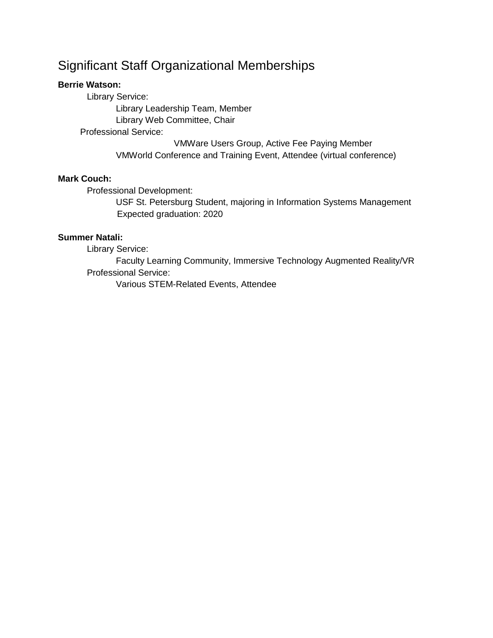### Significant Staff Organizational Memberships

#### **Berrie Watson:**

Library Service:

 Library Leadership Team, Member Library Web Committee, Chair

Professional Service:

 VMWare Users Group, Active Fee Paying Member VMWorld Conference and Training Event, Attendee (virtual conference)

### **Mark Couch:**

Professional Development:

USF St. Petersburg Student, majoring in Information Systems Management Expected graduation: 2020

#### **Summer Natali:**

Library Service:

Faculty Learning Community, Immersive Technology Augmented Reality/VR Professional Service:

Various STEM-Related Events, Attendee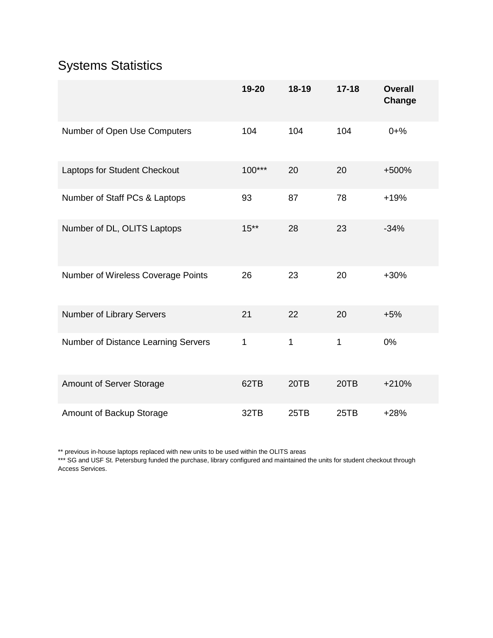# Systems Statistics

|                                     | 19-20    | $18-19$ | $17 - 18$ | <b>Overall</b><br>Change |
|-------------------------------------|----------|---------|-----------|--------------------------|
| Number of Open Use Computers        | 104      | 104     | 104       | $0 + \%$                 |
| Laptops for Student Checkout        | $100***$ | 20      | 20        | +500%                    |
| Number of Staff PCs & Laptops       | 93       | 87      | 78        | $+19%$                   |
| Number of DL, OLITS Laptops         | $15***$  | 28      | 23        | $-34%$                   |
| Number of Wireless Coverage Points  | 26       | 23      | 20        | $+30%$                   |
| Number of Library Servers           | 21       | 22      | 20        | $+5%$                    |
| Number of Distance Learning Servers | 1        | 1       | 1         | 0%                       |
| Amount of Server Storage            | 62TB     | 20TB    | 20TB      | $+210%$                  |
| Amount of Backup Storage            | 32TB     | 25TB    | 25TB      | $+28%$                   |

\*\* previous in-house laptops replaced with new units to be used within the OLITS areas

\*\*\* SG and USF St. Petersburg funded the purchase, library configured and maintained the units for student checkout through Access Services.